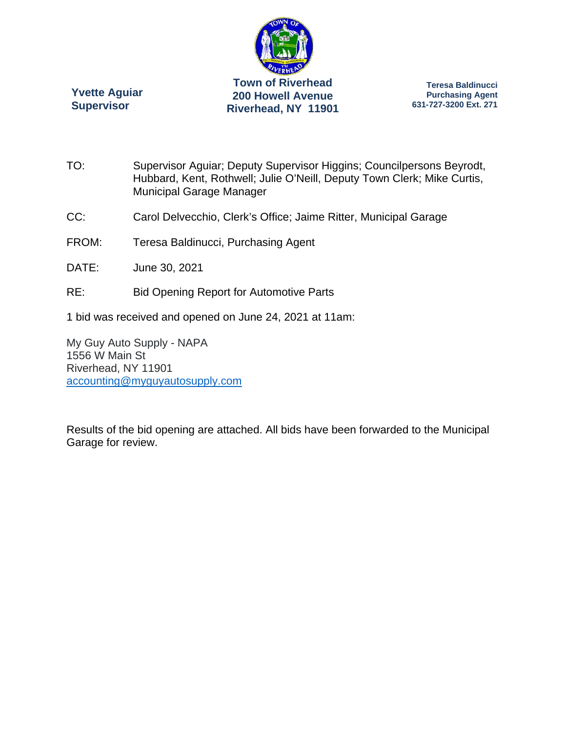

**Yvette Aguiar Supervisor** 

**Teresa Baldinucci Purchasing Agent 631-727-3200 Ext. 271** 

- TO: Supervisor Aguiar; Deputy Supervisor Higgins; Councilpersons Beyrodt, Hubbard, Kent, Rothwell; Julie O'Neill, Deputy Town Clerk; Mike Curtis, Municipal Garage Manager
- CC: Carol Delvecchio, Clerk's Office; Jaime Ritter, Municipal Garage
- FROM: Teresa Baldinucci, Purchasing Agent
- DATE: June 30, 2021
- RE: Bid Opening Report for Automotive Parts
- 1 bid was received and opened on June 24, 2021 at 11am:

My Guy Auto Supply - NAPA 1556 W Main St Riverhead, NY 11901 accounting@myguyautosupply.com

Results of the bid opening are attached. All bids have been forwarded to the Municipal Garage for review.